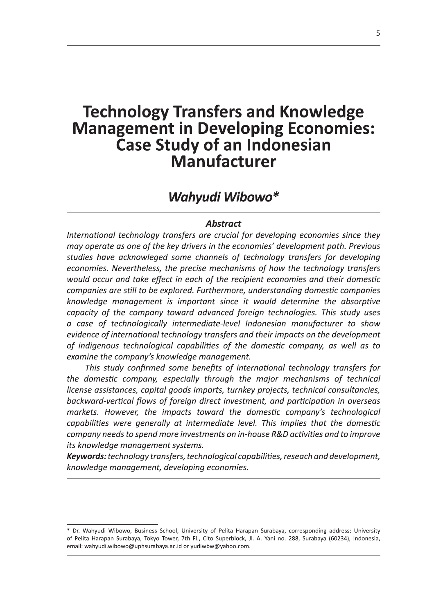# **Technology Transfers and Knowledge Management in Developing Economies:** Case Study of an Indonesian Manufacturer

# Wahyudi Wibowo\*

#### **Abstract**

International technology transfers are crucial for developing economies since they may operate as one of the key drivers in the economies' development path. Previous studies have acknowleged some channels of technology transfers for developing economies. Nevertheless, the precise mechanisms of how the technology transfers would occur and take effect in each of the recipient economies and their domestic companies are still to be explored. Furthermore, understanding domestic companies knowledge management is important since it would determine the absorptive capacity of the company toward advanced foreign technologies. This study uses a case of technologically intermediate-level Indonesian manufacturer to show evidence of international technology transfers and their impacts on the development of indigenous technological capabilities of the domestic company, as well as to examine the company's knowledge management.

This study confirmed some benefits of international technology transfers for the domestic company, especially through the major mechanisms of technical license assistances, capital goods imports, turnkey projects, technical consultancies, backward-vertical flows of foreign direct investment, and participation in overseas markets. However, the impacts toward the domestic company's technological capabilities were generally at intermediate level. This implies that the domestic company needs to spend more investments on in-house R&D activities and to improve its knowledge management systems.

Keywords: technology transfers, technological capabilities, reseach and development, knowledge management, developing economies.

<sup>\*</sup> Dr. Wahyudi Wibowo, Business School, University of Pelita Harapan Surabaya, corresponding address: University of Pelita Harapan Surabaya, Tokyo Tower, 7th Fl., Cito Superblock, Jl. A. Yani no. 288, Surabaya (60234), Indonesia, email: wahyudi.wibowo@uphsurabaya.ac.id or yudiwbw@yahoo.com.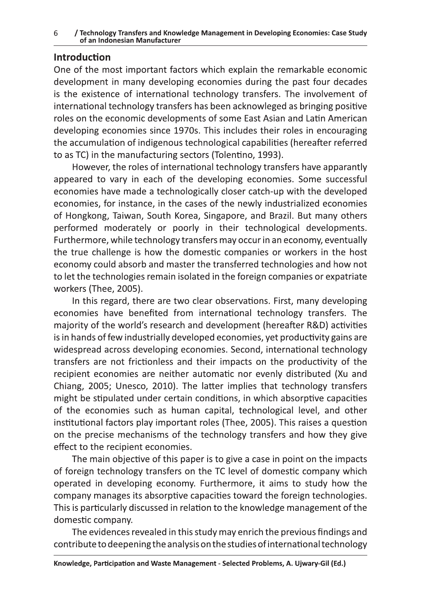## **Introduction**

One of the most important factors which explain the remarkable economic development in many developing economies during the past four decades is the existence of international technology transfers. The involvement of international technology transfers has been acknowleged as bringing positive roles on the economic developments of some East Asian and Latin American developing economies since 1970s. This includes their roles in encouraging the accumulation of indigenous technological capabilities (hereafter referred to as TC) in the manufacturing sectors (Tolentino, 1993).

However, the roles of international technology transfers have apparantly appeared to vary in each of the developing economies. Some successful economies have made a technologically closer catch-up with the developed economies, for instance, in the cases of the newly industrialized economies of Hongkong, Taiwan, South Korea, Singapore, and Brazil. But many others performed moderately or poorly in their technological developments. Furthermore, while technology transfers may occur in an economy, eventually the true challenge is how the domestic companies or workers in the host economy could absorb and master the transferred technologies and how not to let the technologies remain isolated in the foreign companies or expatriate workers (Thee, 2005).

In this regard, there are two clear observations. First, many developing economies have benefited from international technology transfers. The majority of the world's research and development (hereafter R&D) activities is in hands of few industrially developed economies, yet productivity gains are widespread across developing economies. Second, international technology transfers are not frictionless and their impacts on the productivity of the recipient economies are neither automatic nor evenly distributed (Xu and Chiang, 2005; Unesco, 2010). The latter implies that technology transfers might be stipulated under certain conditions, in which absorptive capacities of the economies such as human capital, technological level, and other institutional factors play important roles (Thee, 2005). This raises a question on the precise mechanisms of the technology transfers and how they give effect to the recipient economies.

The main objective of this paper is to give a case in point on the impacts of foreign technology transfers on the TC level of domestic company which operated in developing economy. Furthermore, it aims to study how the company manages its absorptive capacities toward the foreign technologies. This is particularly discussed in relation to the knowledge management of the domestic company.

The evidences revealed in this study may enrich the previous findings and contribute to deepening the analysis on the studies of international technology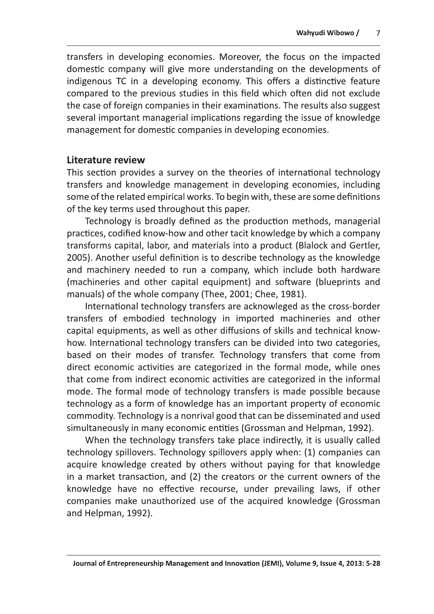Wahyudi Wibowo / 7<br>
transfers in developing economies. Moreover, the focus on the impacted<br>
domestic company will give more understanding on the developments of<br>
indigenous TC in a developing economy. This offers a distinc several important managerial implications regarding the issue of knowledge management for domestic companies in developing economies.

# Literature review

This section provides a survey on the theories of international technology transfers and knowledge management in developing economies, including some of the related empirical works. To begin with, these are some definitions of the key terms used throughout this paper.

Technology is broadly defined as the production methods, managerial practices, codified know-how and other tacit knowledge by which a company transforms capital, labor, and materials into a product (Blalock and Gertler, 2005). Another useful definition is to describe technology as the knowledge and machinery needed to run a company, which include both hardware (machineries and other capital equipment) and software (blueprints and manuals) of the whole company (Thee, 2001; Chee, 1981).

International technology transfers are acknowleged as the cross-border transfers of embodied technology in imported machineries and other capital equipments, as well as other diffusions of skills and technical knowhow. International technology transfers can be divided into two categories, based on their modes of transfer. Technology transfers that come from direct economic activities are categorized in the formal mode, while ones that come from indirect economic activities are categorized in the informal mode. The formal mode of technology transfers is made possible because technology as a form of knowledge has an important property of economic commodity. Technology is a nonrival good that can be disseminated and used simultaneously in many economic entities (Grossman and Helpman, 1992).

When the technology transfers take place indirectly, it is usually called technology spillovers. Technology spillovers apply when: (1) companies can acquire knowledge created by others without paying for that knowledge in a market transaction, and (2) the creators or the current owners of the knowledge have no effective recourse, under prevailing laws, if other companies make unauthorized use of the acquired knowledge (Grossman and Helpman, 1992).

Journal of Entrepreneurship Management and Innovation (JEMI), Volume 9, Issue 4, 2013: 5-28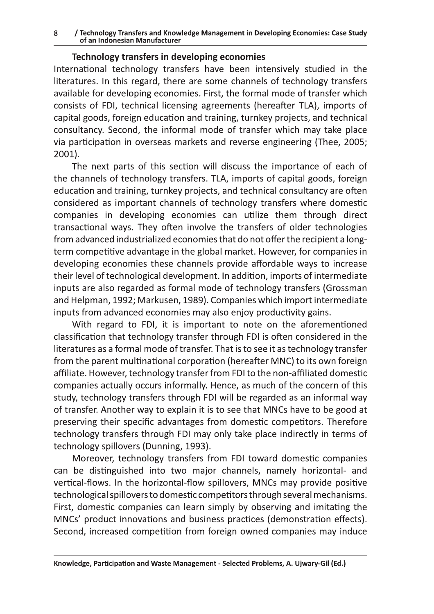#### / Technology Transfers and Knowledge Management in Developing Economies: Case Study 8 of an Indonesian Manufacturer

#### Technology transfers in developing economies

International technology transfers have been intensively studied in the literatures. In this regard, there are some channels of technology transfers available for developing economies. First, the formal mode of transfer which consists of FDI, technical licensing agreements (hereafter TLA), imports of capital goods, foreign education and training, turnkey projects, and technical consultancy. Second, the informal mode of transfer which may take place via participation in overseas markets and reverse engineering (Thee, 2005;  $2001$ ).

The next parts of this section will discuss the importance of each of the channels of technology transfers. TLA, imports of capital goods, foreign education and training, turnkey projects, and technical consultancy are often considered as important channels of technology transfers where domestic companies in developing economies can utilize them through direct transactional ways. They often involve the transfers of older technologies from advanced industrialized economies that do not offer the recipient a longterm competitive advantage in the global market. However, for companies in developing economies these channels provide affordable ways to increase their level of technological development. In addition, imports of intermediate inputs are also regarded as formal mode of technology transfers (Grossman and Helpman, 1992; Markusen, 1989). Companies which import intermediate inputs from advanced economies may also enjoy productivity gains.

With regard to FDI, it is important to note on the aforementioned classification that technology transfer through FDI is often considered in the literatures as a formal mode of transfer. That is to see it as technology transfer from the parent multinational corporation (hereafter MNC) to its own foreign affiliate. However, technology transfer from FDI to the non-affiliated domestic companies actually occurs informally. Hence, as much of the concern of this study, technology transfers through FDI will be regarded as an informal way of transfer. Another way to explain it is to see that MNCs have to be good at preserving their specific advantages from domestic competitors. Therefore technology transfers through FDI may only take place indirectly in terms of technology spillovers (Dunning, 1993).

Moreover, technology transfers from FDI toward domestic companies can be distinguished into two major channels, namely horizontal- and vertical-flows. In the horizontal-flow spillovers, MNCs may provide positive technological spillovers to domestic competitors through several mechanisms. First, domestic companies can learn simply by observing and imitating the MNCs' product innovations and business practices (demonstration effects). Second, increased competition from foreign owned companies may induce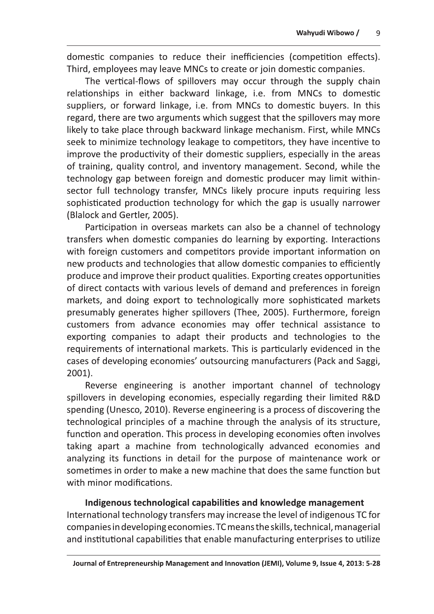Wahyudi Wibowo / 9<br>domestic companies to reduce their inefficiencies (competition effects).<br>Third, employees may leave MNCs to create or join domestic companies.<br>The vertical-flows of spillovers may occur through the suppl regard, there are two arguments which suggest that the spillovers may more likely to take place through backward linkage mechanism. First, while MNCs seek to minimize technology leakage to competitors, they have incentive to improve the productivity of their domestic suppliers, especially in the areas of training, quality control, and inventory management. Second, while the technology gap between foreign and domestic producer may limit withinsector full technology transfer, MNCs likely procure inputs requiring less sophisticated production technology for which the gap is usually narrower (Blalock and Gertler, 2005).

Participation in overseas markets can also be a channel of technology transfers when domestic companies do learning by exporting. Interactions with foreign customers and competitors provide important information on new products and technologies that allow domestic companies to efficiently produce and improve their product qualities. Exporting creates opportunities of direct contacts with various levels of demand and preferences in foreign markets, and doing export to technologically more sophisticated markets presumably generates higher spillovers (Thee, 2005). Furthermore, foreign customers from advance economies may offer technical assistance to exporting companies to adapt their products and technologies to the requirements of international markets. This is particularly evidenced in the cases of developing economies' outsourcing manufacturers (Pack and Saggi, 2001).

Reverse engineering is another important channel of technology spillovers in developing economies, especially regarding their limited R&D spending (Unesco, 2010). Reverse engineering is a process of discovering the technological principles of a machine through the analysis of its structure, function and operation. This process in developing economies often involves taking apart a machine from technologically advanced economies and analyzing its functions in detail for the purpose of maintenance work or sometimes in order to make a new machine that does the same function but with minor modifications.

Indigenous technological capabilities and knowledge management International technology transfers may increase the level of indigenous TC for companies in developing economies. TC means the skills, technical, managerial and institutional capabilities that enable manufacturing enterprises to utilize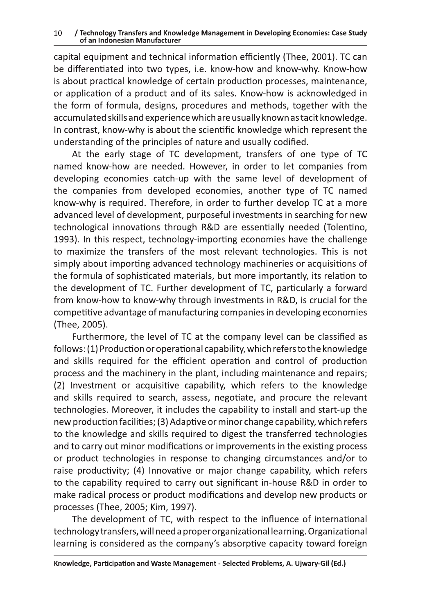capital equipment and technical information efficiently (Thee, 2001). TC can be differentiated into two types, i.e. know-how and know-why. Know-how is about practical knowledge of certain production processes, maintenance, or application of a product and of its sales. Know-how is acknowledged in the form of formula, designs, procedures and methods, together with the accumulated skills and experience which are usually known as tacit knowledge. In contrast, know-why is about the scientific knowledge which represent the understanding of the principles of nature and usually codified.

At the early stage of TC development, transfers of one type of TC named know-how are needed. However, in order to let companies from developing economies catch-up with the same level of development of the companies from developed economies, another type of TC named know-why is required. Therefore, in order to further develop TC at a more advanced level of development, purposeful investments in searching for new technological innovations through R&D are essentially needed (Tolentino, 1993). In this respect, technology-importing economies have the challenge to maximize the transfers of the most relevant technologies. This is not simply about importing advanced technology machineries or acquisitions of the formula of sophisticated materials, but more importantly, its relation to the development of TC. Further development of TC, particularly a forward from know-how to know-why through investments in R&D, is crucial for the competitive advantage of manufacturing companies in developing economies (Thee, 2005).

Furthermore, the level of TC at the company level can be classified as follows: (1) Production or operational capability, which refers to the knowledge and skills required for the efficient operation and control of production process and the machinery in the plant, including maintenance and repairs; (2) Investment or acquisitive capability, which refers to the knowledge and skills required to search, assess, negotiate, and procure the relevant technologies. Moreover, it includes the capability to install and start-up the new production facilities; (3) Adaptive or minor change capability, which refers to the knowledge and skills required to digest the transferred technologies and to carry out minor modifications or improvements in the existing process or product technologies in response to changing circumstances and/or to raise productivity; (4) Innovative or major change capability, which refers to the capability required to carry out significant in-house R&D in order to make radical process or product modifications and develop new products or processes (Thee, 2005; Kim, 1997).

The development of TC, with respect to the influence of international technology transfers, will need a proper organizational learning. Organizational learning is considered as the company's absorptive capacity toward foreign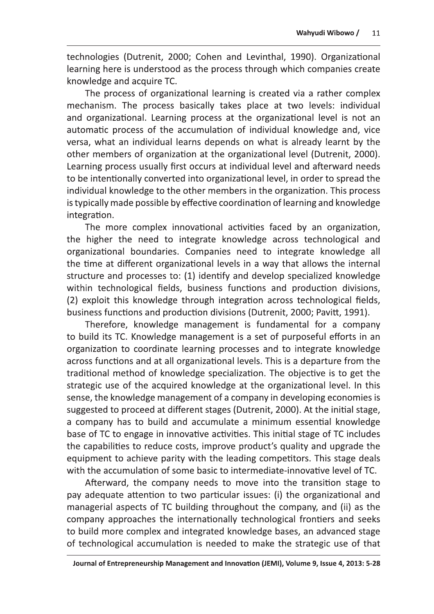Wahyudi Wibowo / 11<br>technologies (Dutrenit, 2000; Cohen and Levinthal, 1990). Organizational<br>learning here is understood as the process through which companies create<br>knowledge and acquire TC.<br>The process of organizational

automatic process of the accumulation of individual knowledge and, vice versa, what an individual learns depends on what is already learnt by the other members of organization at the organizational level (Dutrenit, 2000). Learning process usually first occurs at individual level and afterward needs to be intentionally converted into organizational level, in order to spread the individual knowledge to the other members in the organization. This process is typically made possible by effective coordination of learning and knowledge integration.

The more complex innovational activities faced by an organization, the higher the need to integrate knowledge across technological and organizational boundaries. Companies need to integrate knowledge all the time at different organizational levels in a way that allows the internal structure and processes to: (1) identify and develop specialized knowledge within technological fields, business functions and production divisions, (2) exploit this knowledge through integration across technological fields, business functions and production divisions (Dutrenit, 2000; Pavitt, 1991).

Therefore, knowledge management is fundamental for a company to build its TC. Knowledge management is a set of purposeful efforts in an organization to coordinate learning processes and to integrate knowledge across functions and at all organizational levels. This is a departure from the traditional method of knowledge specialization. The objective is to get the strategic use of the acquired knowledge at the organizational level. In this sense, the knowledge management of a company in developing economies is suggested to proceed at different stages (Dutrenit, 2000). At the initial stage, a company has to build and accumulate a minimum essential knowledge base of TC to engage in innovative activities. This initial stage of TC includes the capabilities to reduce costs, improve product's quality and upgrade the equipment to achieve parity with the leading competitors. This stage deals with the accumulation of some basic to intermediate-innovative level of TC.

Afterward, the company needs to move into the transition stage to pay adequate attention to two particular issues: (i) the organizational and managerial aspects of TC building throughout the company, and (ii) as the company approaches the internationally technological frontiers and seeks to build more complex and integrated knowledge bases, an advanced stage of technological accumulation is needed to make the strategic use of that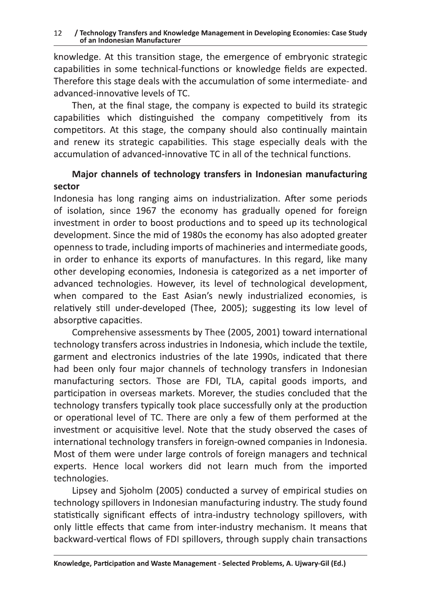knowledge. At this transition stage, the emergence of embryonic strategic capabilities in some technical-functions or knowledge fields are expected. Therefore this stage deals with the accumulation of some intermediate- and advanced-innovative levels of TC.

Then, at the final stage, the company is expected to build its strategic capabilities which distinguished the company competitively from its competitors. At this stage, the company should also continually maintain and renew its strategic capabilities. This stage especially deals with the accumulation of advanced-innovative TC in all of the technical functions.

### Major channels of technology transfers in Indonesian manufacturing sector

Indonesia has long ranging aims on industrialization. After some periods of isolation, since 1967 the economy has gradually opened for foreign investment in order to boost productions and to speed up its technological development. Since the mid of 1980s the economy has also adopted greater openness to trade, including imports of machineries and intermediate goods, in order to enhance its exports of manufactures. In this regard, like many other developing economies, Indonesia is categorized as a net importer of advanced technologies. However, its level of technological development, when compared to the East Asian's newly industrialized economies, is relatively still under-developed (Thee, 2005); suggesting its low level of absorptive capacities.

Comprehensive assessments by Thee (2005, 2001) toward international technology transfers across industries in Indonesia, which include the textile, garment and electronics industries of the late 1990s, indicated that there had been only four major channels of technology transfers in Indonesian manufacturing sectors. Those are FDI, TLA, capital goods imports, and participation in overseas markets. Morever, the studies concluded that the technology transfers typically took place successfully only at the production or operational level of TC. There are only a few of them performed at the investment or acquisitive level. Note that the study observed the cases of international technology transfers in foreign-owned companies in Indonesia. Most of them were under large controls of foreign managers and technical experts. Hence local workers did not learn much from the imported technologies.

Lipsey and Sjoholm (2005) conducted a survey of empirical studies on technology spillovers in Indonesian manufacturing industry. The study found statistically significant effects of intra-industry technology spillovers, with only little effects that came from inter-industry mechanism. It means that backward-vertical flows of FDI spillovers, through supply chain transactions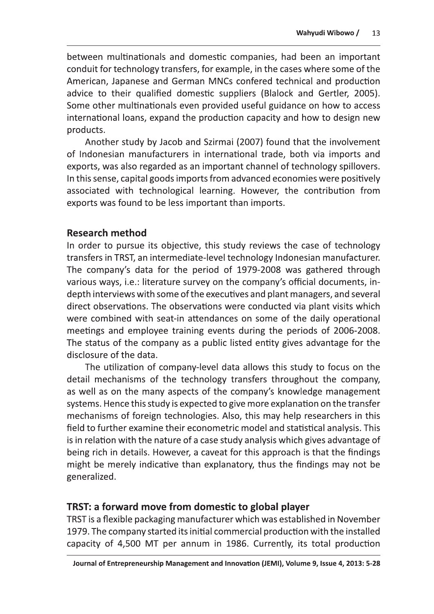Wahyudi Wibowo / 13<br>between multinationals and domestic companies, had been an important<br>conduit for technology transfers, for example, in the cases where some of the<br>American, Japanese and German MNCs confered technical a products.

Another study by Jacob and Szirmai (2007) found that the involvement of Indonesian manufacturers in international trade, both via imports and exports, was also regarded as an important channel of technology spillovers. In this sense, capital goods imports from advanced economies were positively associated with technological learning. However, the contribution from exports was found to be less important than imports.

## Research method

In order to pursue its objective, this study reviews the case of technology transfers in TRST, an intermediate-level technology Indonesian manufacturer. The company's data for the period of 1979-2008 was gathered through various ways, i.e.: literature survey on the company's official documents, indepth interviews with some of the executives and plant managers, and several direct observations. The observations were conducted via plant visits which were combined with seat-in attendances on some of the daily operational meetings and employee training events during the periods of 2006-2008. The status of the company as a public listed entity gives advantage for the disclosure of the data.

The utilization of company-level data allows this study to focus on the detail mechanisms of the technology transfers throughout the company, as well as on the many aspects of the company's knowledge management systems. Hence this study is expected to give more explanation on the transfer mechanisms of foreign technologies. Also, this may help researchers in this field to further examine their econometric model and statistical analysis. This is in relation with the nature of a case study analysis which gives advantage of being rich in details. However, a caveat for this approach is that the findings might be merely indicative than explanatory, thus the findings may not be generalized.

# IRSI: a forward move from domestic to global player

TRST is a flexible packaging manufacturer which was established in November 1979. The company started its initial commercial production with the installed capacity of 4,500 MT per annum in 1986. Currently, its total production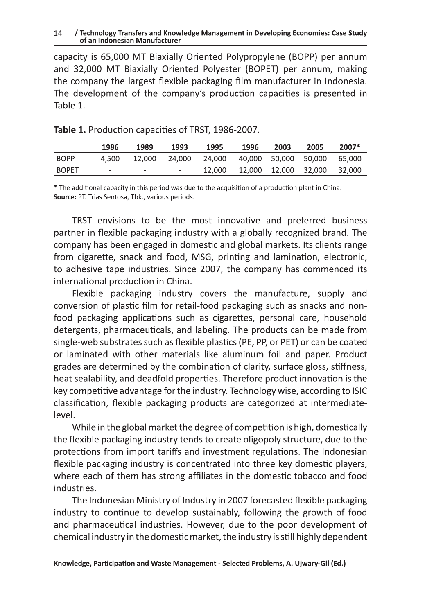#### / Technology Transfers and Knowledge Management in Developing Economies: Case Study 14 of an Indonesian Manufacturer

capacity is 65,000 MT Biaxially Oriented Polypropylene (BOPP) per annum and 32,000 MT Biaxially Oriented Polyester (BOPET) per annum, making the company the largest flexible packaging film manufacturer in Indonesia. The development of the company's production capacities is presented in Table 1.

|              | 1986                         | 1989                         | 1993   | 1995                               | 1996                                   | 2003 | 2005 | $2007*$ |
|--------------|------------------------------|------------------------------|--------|------------------------------------|----------------------------------------|------|------|---------|
| <b>BOPP</b>  | 4.500                        | 12.000                       | 24.000 | 24,000 40,000 50,000 50,000 65,000 |                                        |      |      |         |
| <b>BOPET</b> | $\qquad \qquad \blacksquare$ | $\qquad \qquad \blacksquare$ |        |                                    | 12,000  12,000  12,000  32,000  32,000 |      |      |         |

| Table 1. Production capacities of TRST, 1986-2007. |  |  |  |
|----------------------------------------------------|--|--|--|
|----------------------------------------------------|--|--|--|

\* The additional capacity in this period was due to the acquisition of a production plant in China. Source: PT. Trias Sentosa, Tbk., various periods.

TRST envisions to be the most innovative and preferred business partner in flexible packaging industry with a globally recognized brand. The company has been engaged in domestic and global markets. Its clients range from cigarette, snack and food, MSG, printing and lamination, electronic, to adhesive tape industries. Since 2007, the company has commenced its international production in China.

Flexible packaging industry covers the manufacture, supply and conversion of plastic film for retail-food packaging such as snacks and nonfood packaging applications such as cigarettes, personal care, household detergents, pharmaceuticals, and labeling. The products can be made from single-web substrates such as flexible plastics (PE, PP, or PET) or can be coated or laminated with other materials like aluminum foil and paper. Product grades are determined by the combination of clarity, surface gloss, stiffness, heat sealability, and deadfold properties. Therefore product innovation is the key competitive advantage for the industry. Technology wise, according to ISIC classification, flexible packaging products are categorized at intermediatelevel.

While in the global market the degree of competition is high, domestically the flexible packaging industry tends to create oligopoly structure, due to the protections from import tariffs and investment regulations. The Indonesian flexible packaging industry is concentrated into three key domestic players, where each of them has strong affiliates in the domestic tobacco and food industries.

The Indonesian Ministry of Industry in 2007 forecasted flexible packaging industry to continue to develop sustainably, following the growth of food and pharmaceutical industries. However, due to the poor development of chemical industry in the domestic market, the industry is still highly dependent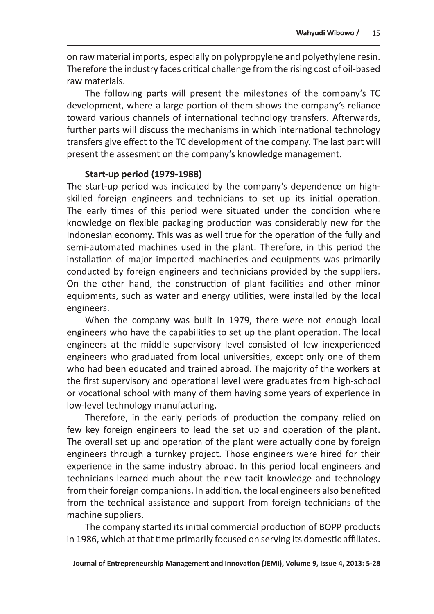on raw material imports, especially on polypropylene and polyethylene resin. Therefore the industry faces critical challenge from the rising cost of oil-based raw materials.

The following parts will present the milestones of the company's TC development, where a large portion of them shows the company's reliance toward various channels of international technology transfers. Afterwards, further parts will discuss the mechanisms in which international technology transfers give effect to the TC development of the company. The last part will present the assesment on the company's knowledge management.

#### **Start-up period (1979-1988)**

The start-up period was indicated by the company's dependence on highskilled foreign engineers and technicians to set up its initial operation. The early times of this period were situated under the condition where knowledge on flexible packaging production was considerably new for the Indonesian economy. This was as well true for the operation of the fully and semi-automated machines used in the plant. Therefore, in this period the installation of major imported machineries and equipments was primarily conducted by foreign engineers and technicians provided by the suppliers. On the other hand, the construction of plant facilities and other minor equipments, such as water and energy utilities, were installed by the local engineers.

When the company was built in 1979, there were not enough local engineers who have the capabilities to set up the plant operation. The local engineers at the middle supervisory level consisted of few inexperienced engineers who graduated from local universities, except only one of them who had been educated and trained abroad. The majority of the workers at the first supervisory and operational level were graduates from high-school or vocational school with many of them having some years of experience in low-level technology manufacturing.

Therefore, in the early periods of production the company relied on few key foreign engineers to lead the set up and operation of the plant. The overall set up and operation of the plant were actually done by foreign engineers through a turnkey project. Those engineers were hired for their experience in the same industry abroad. In this period local engineers and technicians learned much about the new tacit knowledge and technology from their foreign companions. In addition, the local engineers also benefited from the technical assistance and support from foreign technicians of the machine suppliers.

The company started its initial commercial production of BOPP products in 1986, which at that time primarily focused on serving its domestic affiliates.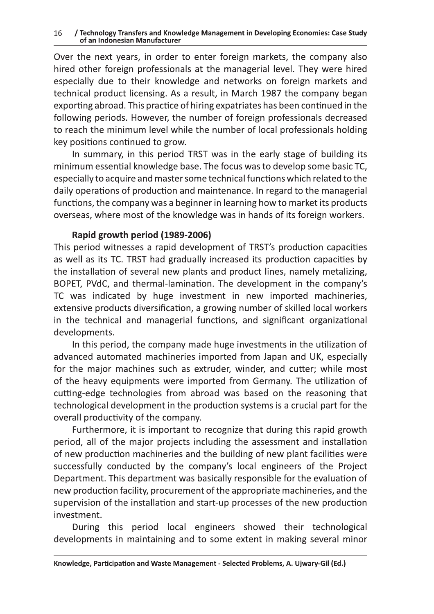Over the next years, in order to enter foreign markets, the company also hired other foreign professionals at the managerial level. They were hired especially due to their knowledge and networks on foreign markets and technical product licensing. As a result, in March 1987 the company began exporting abroad. This practice of hiring expatriates has been continued in the following periods. However, the number of foreign professionals decreased to reach the minimum level while the number of local professionals holding key positions continued to grow.

In summary, in this period TRST was in the early stage of building its minimum essential knowledge base. The focus was to develop some basic TC, especially to acquire and master some technical functions which related to the daily operations of production and maintenance. In regard to the managerial functions, the company was a beginner in learning how to market its products overseas, where most of the knowledge was in hands of its foreign workers.

## Rapid growth period (1989-2006)

This period witnesses a rapid development of TRST's production capacities as well as its TC. TRST had gradually increased its production capacities by the installation of several new plants and product lines, namely metalizing, BOPET, PVdC, and thermal-lamination. The development in the company's TC was indicated by huge investment in new imported machineries, extensive products diversification, a growing number of skilled local workers in the technical and managerial functions, and significant organizational developments.

In this period, the company made huge investments in the utilization of advanced automated machineries imported from Japan and UK, especially for the major machines such as extruder, winder, and cutter; while most of the heavy equipments were imported from Germany. The utilization of cutting-edge technologies from abroad was based on the reasoning that technological development in the production systems is a crucial part for the overall productivity of the company.

Furthermore, it is important to recognize that during this rapid growth period, all of the major projects including the assessment and installation of new production machineries and the building of new plant facilities were successfully conducted by the company's local engineers of the Project Department. This department was basically responsible for the evaluation of new production facility, procurement of the appropriate machineries, and the supervision of the installation and start-up processes of the new production investment.

During this period local engineers showed their technological developments in maintaining and to some extent in making several minor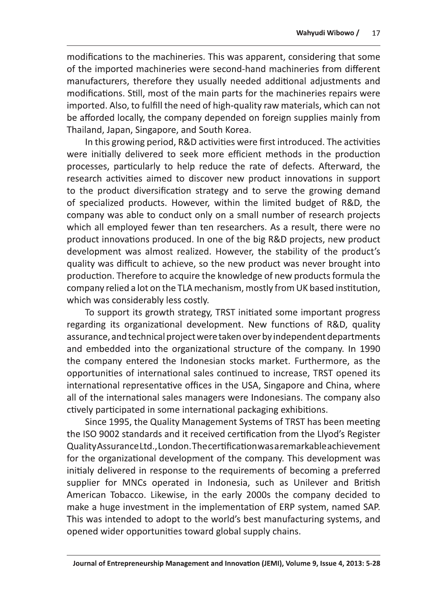Wahyudi Wibowo / 17<br>
modifications to the machineries. This was apparent, considering that some<br>
of the imported machineries were second-hand machineries from different<br>
manufacturers, therefore they usually needed additio Thailand, Japan, Singapore, and South Korea.

In this growing period, R&D activities were first introduced. The activities were initially delivered to seek more efficient methods in the production processes, particularly to help reduce the rate of defects. Afterward, the research activities aimed to discover new product innovations in support to the product diversification strategy and to serve the growing demand of specialized products. However, within the limited budget of R&D, the company was able to conduct only on a small number of research projects which all employed fewer than ten researchers. As a result, there were no product innovations produced. In one of the big R&D projects, new product development was almost realized. However, the stability of the product's quality was difficult to achieve, so the new product was never brought into production. Therefore to acquire the knowledge of new products formula the company relied a lot on the TLA mechanism, mostly from UK based institution, which was considerably less costly.

To support its growth strategy, TRST initiated some important progress regarding its organizational development. New functions of R&D, quality assurance, and technical project were taken over by independent departments and embedded into the organizational structure of the company. In 1990 the company entered the Indonesian stocks market. Furthermore, as the opportunities of international sales continued to increase, TRST opened its international representative offices in the USA, Singapore and China, where all of the international sales managers were Indonesians. The company also ctively participated in some international packaging exhibitions.

Since 1995, the Quality Management Systems of TRST has been meeting the ISO 9002 standards and it received certification from the Llyod's Register Quality Assurance Ltd., London. The certification was a remarkable achievement for the organizational development of the company. This development was initialy delivered in response to the requirements of becoming a preferred supplier for MNCs operated in Indonesia, such as Unilever and British American Tobacco. Likewise, in the early 2000s the company decided to make a huge investment in the implementation of ERP system, named SAP. This was intended to adopt to the world's best manufacturing systems, and opened wider opportunities toward global supply chains.

Journal of Entrepreneurship Management and Innovation (JEMI), Volume 9, Issue 4, 2013: 5-28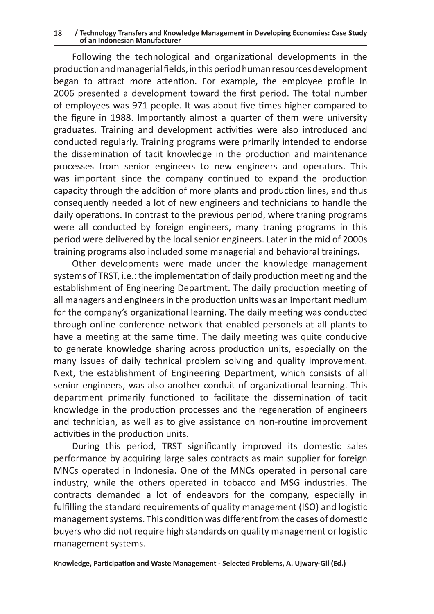#### / Technology Transfers and Knowledge Management in Developing Economies: Case Study 18 of an Indonesian Manufacturer

Following the technological and organizational developments in the production and managerial fields, in this period human resources development began to attract more attention. For example, the employee profile in 2006 presented a development toward the first period. The total number of employees was 971 people. It was about five times higher compared to the figure in 1988. Importantly almost a quarter of them were university graduates. Training and development activities were also introduced and conducted regularly. Training programs were primarily intended to endorse the dissemination of tacit knowledge in the production and maintenance processes from senior engineers to new engineers and operators. This was important since the company continued to expand the production capacity through the addition of more plants and production lines, and thus consequently needed a lot of new engineers and technicians to handle the daily operations. In contrast to the previous period, where traning programs were all conducted by foreign engineers, many traning programs in this period were delivered by the local senior engineers. Later in the mid of 2000s training programs also included some managerial and behavioral trainings.

Other developments were made under the knowledge management systems of TRST, i.e.: the implementation of daily production meeting and the establishment of Engineering Department. The daily production meeting of all managers and engineers in the production units was an important medium for the company's organizational learning. The daily meeting was conducted through online conference network that enabled personels at all plants to have a meeting at the same time. The daily meeting was quite conducive to generate knowledge sharing across production units, especially on the many issues of daily technical problem solving and quality improvement. Next, the establishment of Engineering Department, which consists of all senior engineers, was also another conduit of organizational learning. This department primarily functioned to facilitate the dissemination of tacit knowledge in the production processes and the regeneration of engineers and technician, as well as to give assistance on non-routine improvement activities in the production units.

During this period, TRST significantly improved its domestic sales performance by acquiring large sales contracts as main supplier for foreign MNCs operated in Indonesia. One of the MNCs operated in personal care industry, while the others operated in tobacco and MSG industries. The contracts demanded a lot of endeavors for the company, especially in fulfilling the standard requirements of quality management (ISO) and logistic management systems. This condition was different from the cases of domestic buyers who did not require high standards on quality management or logistic management systems.

Knowledge, Participation and Waste Management - Selected Problems, A. Ujwary-Gil (Ed.)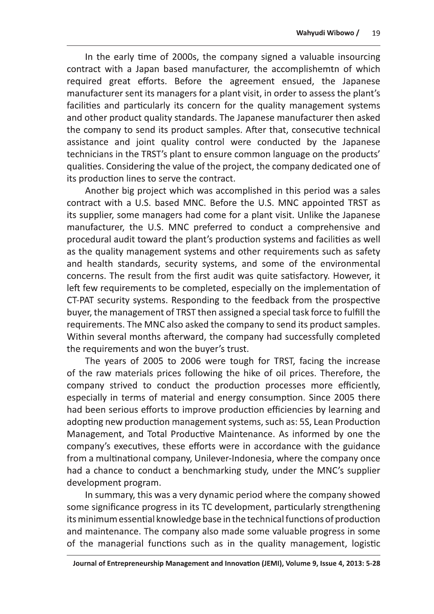Wahyudi Wibowo / 19<br>In the early time of 2000s, the company signed a valuable insourcing<br>contract with a Japan based manufacturer, the accomplishemtn of which<br>required great efforts. Before the agreement ensued, the Japane the company to send its product samples. After that, consecutive technical assistance and joint quality control were conducted by the Japanese technicians in the TRST's plant to ensure common language on the products' qualities. Considering the value of the project, the company dedicated one of its production lines to serve the contract.

Another big project which was accomplished in this period was a sales contract with a U.S. based MNC. Before the U.S. MNC appointed TRST as its supplier, some managers had come for a plant visit. Unlike the Japanese manufacturer, the U.S. MNC preferred to conduct a comprehensive and procedural audit toward the plant's production systems and facilities as well as the quality management systems and other requirements such as safety and health standards, security systems, and some of the environmental concerns. The result from the first audit was quite satisfactory. However, it left few requirements to be completed, especially on the implementation of CT-PAT security systems. Responding to the feedback from the prospective buyer, the management of TRST then assigned a special task force to fulfill the requirements. The MNC also asked the company to send its product samples. Within several months afterward, the company had successfully completed the requirements and won the buyer's trust.

The years of 2005 to 2006 were tough for TRST, facing the increase of the raw materials prices following the hike of oil prices. Therefore, the company strived to conduct the production processes more efficiently, especially in terms of material and energy consumption. Since 2005 there had been serious efforts to improve production efficiencies by learning and adopting new production management systems, such as: 5S, Lean Production Management, and Total Productive Maintenance. As informed by one the company's executives, these efforts were in accordance with the guidance from a multinational company, Unilever-Indonesia, where the company once had a chance to conduct a benchmarking study, under the MNC's supplier development program.

In summary, this was a very dynamic period where the company showed some significance progress in its TC development, particularly strengthening its minimum essential knowledge base in the technical functions of production and maintenance. The company also made some valuable progress in some of the managerial functions such as in the quality management, logistic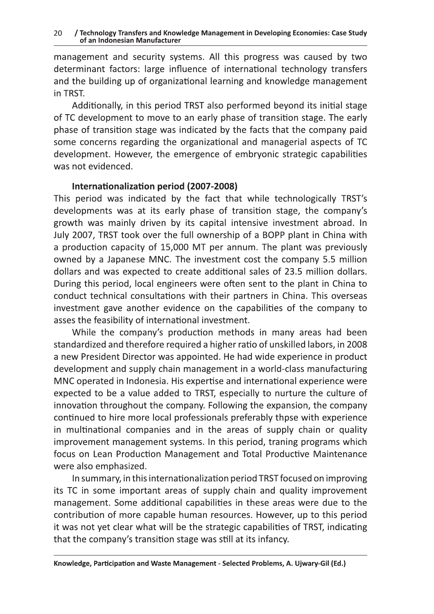management and security systems. All this progress was caused by two determinant factors: large influence of international technology transfers and the building up of organizational learning and knowledge management in TRST.

Additionally, in this period TRST also performed beyond its initial stage of TC development to move to an early phase of transition stage. The early phase of transition stage was indicated by the facts that the company paid some concerns regarding the organizational and managerial aspects of TC development. However, the emergence of embryonic strategic capabilities was not evidenced.

#### Internationalization period (2007-2008)

This period was indicated by the fact that while technologically TRST's developments was at its early phase of transition stage, the company's growth was mainly driven by its capital intensive investment abroad. In July 2007, TRST took over the full ownership of a BOPP plant in China with a production capacity of 15,000 MT per annum. The plant was previously owned by a Japanese MNC. The investment cost the company 5.5 million dollars and was expected to create additional sales of 23.5 million dollars. During this period, local engineers were often sent to the plant in China to conduct technical consultations with their partners in China. This overseas investment gave another evidence on the capabilities of the company to asses the feasibility of international investment.

While the company's production methods in many areas had been standardized and therefore required a higher ratio of unskilled labors, in 2008 a new President Director was appointed. He had wide experience in product development and supply chain management in a world-class manufacturing MNC operated in Indonesia. His expertise and international experience were expected to be a value added to TRST, especially to nurture the culture of innovation throughout the company. Following the expansion, the company continued to hire more local professionals preferably thpse with experience in multinational companies and in the areas of supply chain or quality improvement management systems. In this period, traning programs which focus on Lean Production Management and Total Productive Maintenance were also emphasized.

In summary, in this internationalization period TRST focused on improving its TC in some important areas of supply chain and quality improvement management. Some additional capabilities in these areas were due to the contribution of more capable human resources. However, up to this period it was not yet clear what will be the strategic capabilities of TRST, indicating that the company's transition stage was still at its infancy.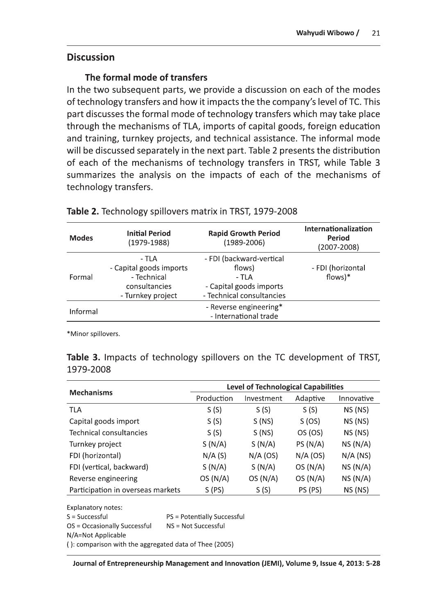Wahyudi Wibowo / 21<br>Discussion<br>In the formal mode of transfers<br>In the two subsequent parts, we provide a discussion on each of the modes<br>of technology transfers and how it impacts the the company's level of TC. This<br>part d through the mechanisms of TLA, imports of capital goods, foreign education and training, turnkey projects, and technical assistance. The informal mode will be discussed separately in the next part. Table 2 presents the distribution of each of the mechanisms of technology transfers in TRST, while Table 3 summarizes the analysis on the impacts of each of the mechanisms of technology transfers.

|              | technology transfers.                  | of each of the mechanisms of technology transfers in TRST, while Table 3<br>summarizes the analysis on the impacts of each of the mechanisms of<br>Table 2. Technology spillovers matrix in TRST, 1979-2008 |                                  |
|--------------|----------------------------------------|-------------------------------------------------------------------------------------------------------------------------------------------------------------------------------------------------------------|----------------------------------|
|              |                                        |                                                                                                                                                                                                             | Internationalization             |
| <b>Modes</b> | <b>Initial Period</b><br>$(1979-1988)$ | <b>Rapid Growth Period</b><br>(1989-2006)                                                                                                                                                                   | <b>Period</b><br>$(2007 - 2008)$ |
|              | - TLA                                  | - FDI (backward-vertical                                                                                                                                                                                    |                                  |
|              | - Capital goods imports                | flows)                                                                                                                                                                                                      |                                  |
| Formal       | - Technical                            | - TLA                                                                                                                                                                                                       | - FDI (horizontal<br>$flows$ )*  |
|              | consultancies                          | - Capital goods imports                                                                                                                                                                                     |                                  |
|              | - Turnkey project                      | - Technical consultancies                                                                                                                                                                                   |                                  |

|           |  |  |  | <b>Table 3.</b> Impacts of technology spillovers on the TC development of TRST, |  |
|-----------|--|--|--|---------------------------------------------------------------------------------|--|
| 1979-2008 |  |  |  |                                                                                 |  |

| Formal                                                                                         | - Technical<br>consultancies<br>- Turnkey project |                                            | - TLA<br>- Capital goods imports<br>- Technical consultancies |            | flows $)*$            |  |
|------------------------------------------------------------------------------------------------|---------------------------------------------------|--------------------------------------------|---------------------------------------------------------------|------------|-----------------------|--|
| Informal                                                                                       |                                                   |                                            | - Reverse engineering*<br>- International trade               |            |                       |  |
| *Minor spillovers.<br>Table 3. Impacts of technology spillovers on the TC development of TRST, |                                                   |                                            |                                                               |            |                       |  |
| 1979-2008                                                                                      |                                                   | <b>Level of Technological Capabilities</b> |                                                               |            |                       |  |
| <b>Mechanisms</b>                                                                              |                                                   | Production                                 | Investment                                                    | Adaptive   | Innovative            |  |
|                                                                                                |                                                   |                                            |                                                               |            |                       |  |
| <b>TLA</b>                                                                                     |                                                   | S(S)                                       | S(S)                                                          | S(S)       | $NS$ (NS)             |  |
| Capital goods import                                                                           |                                                   | S(S)                                       | S(NS)                                                         | S (OS)     | $NS$ (NS)             |  |
| Technical consultancies                                                                        |                                                   | S(S)                                       | S(NS)                                                         | OS (OS)    | $NS$ (NS)             |  |
| Turnkey project                                                                                |                                                   | S(N/A)                                     | S(N/A)                                                        | PS(N/A)    |                       |  |
| FDI (horizontal)                                                                               |                                                   | N/A(S)                                     | $N/A$ (OS)                                                    | $N/A$ (OS) | NS(N/A)<br>$N/A$ (NS) |  |
| FDI (vertical, backward)                                                                       |                                                   | S(N/A)                                     | S(N/A)                                                        | OS(N/A)    |                       |  |
| Reverse engineering                                                                            |                                                   | OS(N/A)                                    | OS(N/A)                                                       | OS(N/A)    | NS(N/A)<br>NS(N/A)    |  |

 $S =$  Successful  $PS =$  Potentially Successful  $OS = Occasionally Successful$   $NS = Not Successful$ N/A=Not Applicable  $($  ): comparison with the aggregated data of Thee (2005)

Journal of Entrepreneurship Management and Innovation (JEMI), Volume 9, Issue 4, 2013: 5-28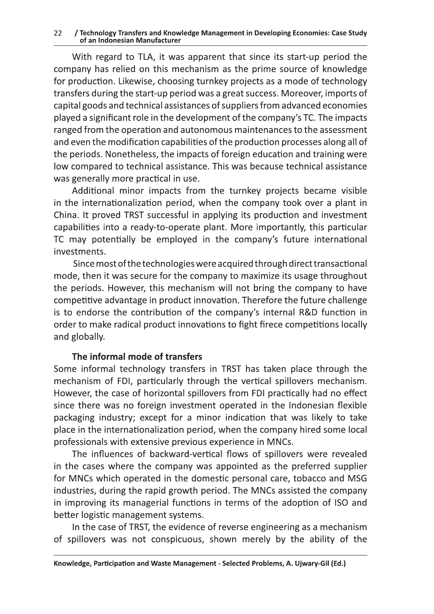Technology Transfers and Knowledge Marticles of an Indonesian Manufacturer<br>With regard to TLA, it was appare<br>company has relied on this mechanism<br>or production. Likewise, choosing turn<br>ransfers during the start-up period w With regard to TLA, it was apparent that since its start-up period the company has relied on this mechanism as the prime source of knowledge for production. Likewise, choosing turnkey projects as a mode of technology transfers during the start-up period was a great success. Moreover, imports of capital goods and technical assistances of suppliers from advanced economies played a significant role in the development of the company's TC. The impacts ranged from the operation and autonomous maintenances to the assessment and even the modification capabilities of the production processes along all of the periods. Nonetheless, the impacts of foreign education and training were Iow compared to technical assistance. This was because technical assistance was generally more practical in use.

Additional minor impacts from the turnkey projects became visible in the internationalization period, when the company took over a plant in China. It proved TRST successful in applying its production and investment capabilities into a ready-to-operate plant. More importantly, this particular TC may potentially be employed in the company's future international investments.

Since most of the technologies were acquired through direct transactional mode, then it was secure for the company to maximize its usage throughout the periods. However, this mechanism will not bring the company to have competitive advantage in product innovation. Therefore the future challenge is to endorse the contribution of the company's internal R&D function in order to make radical product innovations to fight firece competitions locally and globally.

#### The informal mode of transfers

Some informal technology transfers in TRST has taken place through the mechanism of FDI, particularly through the vertical spillovers mechanism. However, the case of horizontal spillovers from FDI practically had no effect since there was no foreign investment operated in the Indonesian flexible packaging industry; except for a minor indication that was likely to take place in the internationalization period, when the company hired some local professionals with extensive previous experience in MNCs.

The influences of backward-vertical flows of spillovers were revealed in the cases where the company was appointed as the preferred supplier for MNCs which operated in the domestic personal care, tobacco and MSG industries, during the rapid growth period. The MNCs assisted the company in improving its managerial functions in terms of the adoption of ISO and better logistic management systems.

In the case of TRST, the evidence of reverse engineering as a mechanism of spillovers was not conspicuous, shown merely by the ability of the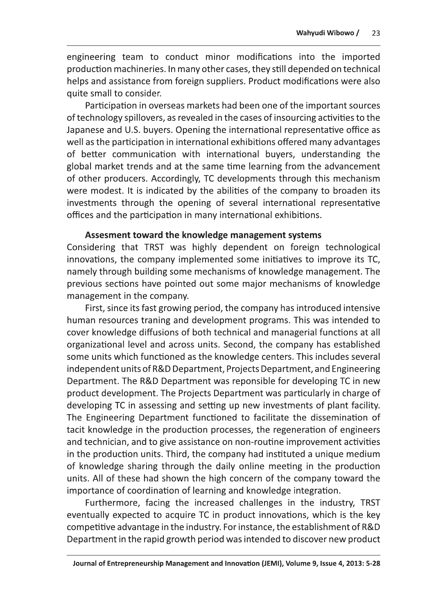engineering team to conduct minor modifications into the imported production machineries. In many other cases, they still depended on technical helps and assistance from foreign suppliers. Product modifications were also quite small to consider.

Participation in overseas markets had been one of the important sources of technology spillovers, as revealed in the cases of insourcing activities to the Japanese and U.S. buyers. Opening the international representative office as well as the participation in international exhibitions offered many advantages of better communication with international buyers, understanding the global market trends and at the same time learning from the advancement of other producers. Accordingly, TC developments through this mechanism were modest. It is indicated by the abilities of the company to broaden its investments through the opening of several international representative offices and the participation in many international exhibitions.

#### Assesment toward the knowledge management systems

Considering that TRST was highly dependent on foreign technological innovations, the company implemented some initiatives to improve its TC, namely through building some mechanisms of knowledge management. The previous sections have pointed out some major mechanisms of knowledge management in the company.

First, since its fast growing period, the company has introduced intensive human resources traning and development programs. This was intended to cover knowledge diffusions of both technical and managerial functions at all organizational level and across units. Second, the company has established some units which functioned as the knowledge centers. This includes several independent units of R&D Department, Projects Department, and Engineering Department. The R&D Department was reponsible for developing TC in new product development. The Projects Department was particularly in charge of developing TC in assessing and setting up new investments of plant facility. The Engineering Department functioned to facilitate the dissemination of tacit knowledge in the production processes, the regeneration of engineers and technician, and to give assistance on non-routine improvement activities in the production units. Third, the company had instituted a unique medium of knowledge sharing through the daily online meeting in the production units. All of these had shown the high concern of the company toward the importance of coordination of learning and knowledge integration.

Furthermore, facing the increased challenges in the industry, TRST eventually expected to acquire TC in product innovations, which is the key competitive advantage in the industry. For instance, the establishment of R&D Department in the rapid growth period was intended to discover new product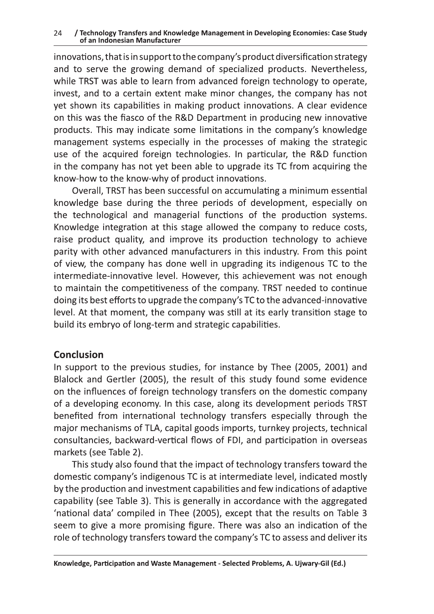#### / Technology Transfers and Knowledge Management in Developing Economies: Case Study 24 of an Indonesian Manufacturer

innovations, that is in support to the company's product diversification strategy and to serve the growing demand of specialized products. Nevertheless, while TRST was able to learn from advanced foreign technology to operate, invest, and to a certain extent make minor changes, the company has not yet shown its capabilities in making product innovations. A clear evidence on this was the fiasco of the R&D Department in producing new innovative products. This may indicate some limitations in the company's knowledge management systems especially in the processes of making the strategic use of the acquired foreign technologies. In particular, the R&D function in the company has not yet been able to upgrade its TC from acquiring the know-how to the know-why of product innovations.

Overall, TRST has been successful on accumulating a minimum essential knowledge base during the three periods of development, especially on the technological and managerial functions of the production systems. Knowledge integration at this stage allowed the company to reduce costs, raise product quality, and improve its production technology to achieve parity with other advanced manufacturers in this industry. From this point of view, the company has done well in upgrading its indigenous TC to the intermediate-innovative level. However, this achievement was not enough to maintain the competitiveness of the company. TRST needed to continue doing its best efforts to upgrade the company's TC to the advanced-innovative level. At that moment, the company was still at its early transition stage to build its embryo of long-term and strategic capabilities.

## **Conclusion**

In support to the previous studies, for instance by Thee (2005, 2001) and Blalock and Gertler (2005), the result of this study found some evidence on the influences of foreign technology transfers on the domestic company of a developing economy. In this case, along its development periods TRST benefited from international technology transfers especially through the major mechanisms of TLA, capital goods imports, turnkey projects, technical consultancies, backward-vertical flows of FDI, and participation in overseas markets (see Table 2).

This study also found that the impact of technology transfers toward the domestic company's indigenous TC is at intermediate level, indicated mostly by the production and investment capabilities and few indications of adaptive capability (see Table 3). This is generally in accordance with the aggregated 'national data' compiled in Thee (2005), except that the results on Table 3 seem to give a more promising figure. There was also an indication of the role of technology transfers toward the company's TC to assess and deliver its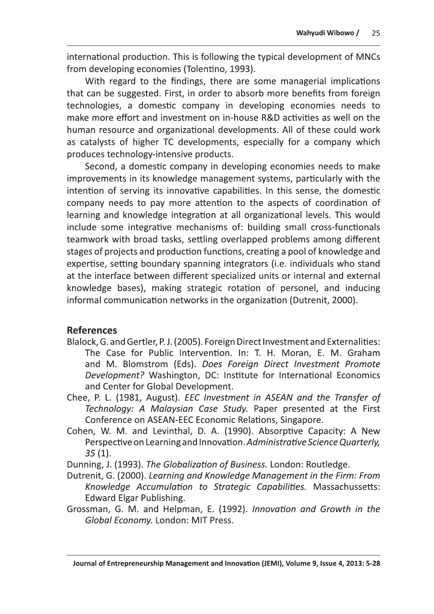international production. This is following the typical development of MNCs from developing economies (Tolentino, 1993).

With regard to the findings, there are some managerial implications that can be suggested. First, in order to absorb more benefits from foreign technologies, a domestic company in developing economies needs to make more effort and investment on in-house R&D activities as well on the human resource and organizational developments. All of these could work as catalysts of higher TC developments, especially for a company which produces technology-intensive products.

Second, a domestic company in developing economies needs to make improvements in its knowledge management systems, particularly with the intention of serving its innovative capabilities. In this sense, the domestic company needs to pay more attention to the aspects of coordination of learning and knowledge integration at all organizational levels. This would include some integrative mechanisms of: building small cross-functionals teamwork with broad tasks, settling overlapped problems among different stages of projects and production functions, creating a pool of knowledge and expertise, setting boundary spanning integrators (i.e. individuals who stand at the interface between different specialized units or internal and external knowledge bases), making strategic rotation of personel, and inducing informal communication networks in the organization (Dutrenit, 2000).

## **References**

- Blalock, G. and Gertler, P.J. (2005). Foreign Direct Investment and Externalities: The Case for Public Intervention. In: T. H. Moran, E. M. Graham and M. Blomstrom (Eds). Does Foreign Direct Investment Promote Development? Washington, DC: Institute for International Economics and Center for Global Development.
- Chee, P. L. (1981, August). EEC Investment in ASEAN and the Transfer of Technology: A Malaysian Case Study. Paper presented at the First Conference on ASEAN-EEC Economic Relations, Singapore.
- Cohen, W. M. and Levinthal, D. A. (1990). Absorptive Capacity: A New Perspective on Learning and Innovation. Administrative Science Quarterly,  $35(1)$ .
- Dunning, J. (1993). The Globalization of Business. London: Routledge.
- Dutrenit, G. (2000). Learning and Knowledge Management in the Firm: From Knowledge Accumulation to Strategic Capabilities. Massachussetts: **Edward Elgar Publishing.**
- Grossman, G. M. and Helpman, E. (1992). Innovation and Growth in the Global Economy. London: MIT Press.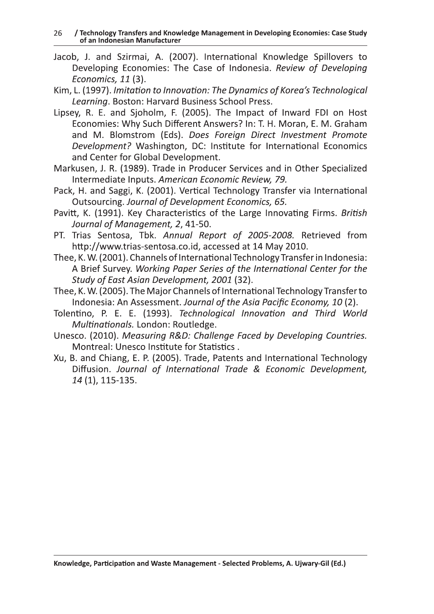/ Technology Transfers and Knowledge Management in Developing Economies: Case Study 26 of an Indonesian Manufacturer

- Jacob, J. and Szirmai, A. (2007). International Knowledge Spillovers to Developing Economies: The Case of Indonesia. Review of Developing Economics, 11 (3).
- Kim, L. (1997). Imitation to Innovation: The Dynamics of Korea's Technological Learning. Boston: Harvard Business School Press.
- Lipsey, R. E. and Sjoholm, F. (2005). The Impact of Inward FDI on Host Economies: Why Such Different Answers? In: T. H. Moran, E. M. Graham and M. Blomstrom (Eds). Does Foreign Direct Investment Promote Development? Washington, DC: Institute for International Economics and Center for Global Development.
- Markusen, J. R. (1989). Trade in Producer Services and in Other Specialized Intermediate Inputs. American Economic Review, 79.
- Pack, H. and Saggi, K. (2001). Vertical Technology Transfer via International Outsourcing. Journal of Development Economics, 65.
- Pavitt, K. (1991). Key Characteristics of the Large Innovating Firms. British Journal of Management, 2, 41-50.
- PT. Trias Sentosa, Tbk. Annual Report of 2005-2008. Retrieved from http://www.trias-sentosa.co.id, accessed at 14 May 2010.
- Thee, K. W. (2001). Channels of International Technology Transfer in Indonesia: A Brief Survey. Working Paper Series of the International Center for the Study of East Asian Development, 2001 (32).
- Thee, K. W. (2005). The Major Channels of International Technology Transfer to Indonesia: An Assessment. Journal of the Asia Pacific Economy, 10(2).
- Tolentino, P. E. E. (1993). Technological Innovation and Third World Multinationals. London: Routledge.
- Unesco. (2010). Measuring R&D: Challenge Faced by Developing Countries. Montreal: Unesco Institute for Statistics.
- Xu, B. and Chiang, E. P. (2005). Trade, Patents and International Technology Diffusion. Journal of International Trade & Economic Development, 14 (1), 115-135.